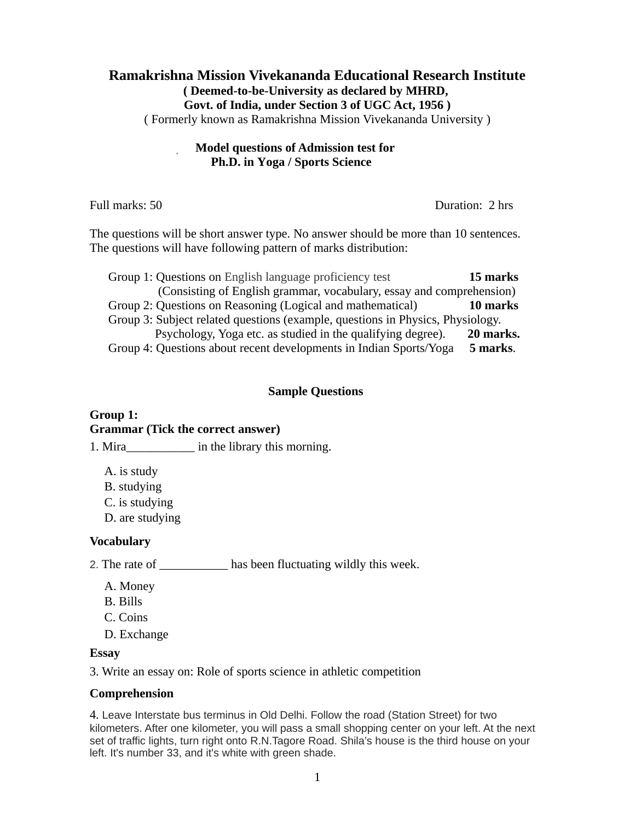# **Ramakrishna Mission Vivekananda Educational Research Institute ( Deemed-to-be-University as declared by MHRD, Govt. of India, under Section 3 of UGC Act, 1956 )**

( Formerly known as Ramakrishna Mission Vivekananda University )

### **Model questions of Admission test for Ph.D. in Yoga / Sports Science**

| Full marks: 50                                                                                                                                           | Duration: 2 hrs |
|----------------------------------------------------------------------------------------------------------------------------------------------------------|-----------------|
| The questions will be short answer type. No answer should be more than 10 sentences.<br>The questions will have following pattern of marks distribution: |                 |
| Group 1: Questions on English language proficiency test                                                                                                  | 15 marks        |
| (Consisting of English grammar, vocabulary, essay and comprehension)                                                                                     |                 |
| Group 2: Questions on Reasoning (Logical and mathematical)                                                                                               | 10 marks        |

Group 3: Subject related questions (example, questions in Physics, Physiology. Psychology, Yoga etc. as studied in the qualifying degree). **20 marks.** Group 4: Questions about recent developments in Indian Sports/Yoga **5 marks**.

### **Sample Questions**

#### **Group 1: Grammar (Tick the correct answer)**

1. Mira\_\_\_\_\_\_\_\_\_\_\_\_\_\_\_ in the library this morning.

A. is study

B. studying

C. is studying

D. are studying

### **Vocabulary**

2. The rate of \_\_\_\_\_\_\_\_\_\_\_\_ has been fluctuating wildly this week.

- A. Money
- B. Bills
- C. Coins
- D. Exchange

#### **Essay**

3. Write an essay on: Role of sports science in athletic competition

#### **Comprehension**

4. Leave Interstate bus terminus in Old Delhi. Follow the road (Station Street) for two kilometers. After one kilometer, you will pass a small shopping center on your left. At the next set of traffic lights, turn right onto R.N.Tagore Road. Shila's house is the third house on your left. It's number 33, and it's white with green shade.